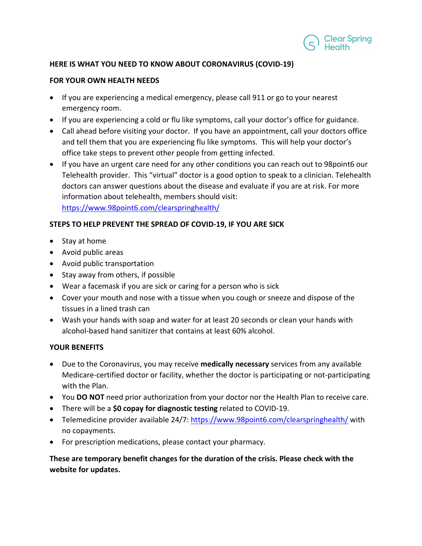

## **HERE IS WHAT YOU NEED TO KNOW ABOUT CORONAVIRUS (COVID-19)**

### **FOR YOUR OWN HEALTH NEEDS**

- If you are experiencing a medical emergency, please call 911 or go to your nearest emergency room.
- If you are experiencing a cold or flu like symptoms, call your doctor's office for guidance.
- Call ahead before visiting your doctor. If you have an appointment, call your doctors office and tell them that you are experiencing flu like symptoms. This will help your doctor's office take steps to prevent other people from getting infected.
- If you have an urgent care need for any other conditions you can reach out to 98point6 our Telehealth provider. This "virtual" doctor is a good option to speak to a clinician. Telehealth doctors can answer questions about the disease and evaluate if you are at risk. For more information about telehealth, members should visit: <https://www.98point6.com/clearspringhealth/>

## **STEPS TO HELP PREVENT THE SPREAD OF COVID-19, IF YOU ARE SICK**

- Stay at home
- Avoid public areas
- Avoid public transportation
- Stay away from others, if possible
- Wear a facemask if you are sick or caring for a person who is sick
- Cover your mouth and nose with a tissue when you cough or sneeze and dispose of the tissues in a lined trash can
- Wash your hands with soap and water for at least 20 seconds or clean your hands with alcohol-based hand sanitizer that contains at least 60% alcohol.

## **YOUR BENEFITS**

- Due to the Coronavirus, you may receive **medically necessary** services from any available Medicare-certified doctor or facility, whether the doctor is participating or not-participating with the Plan.
- You **DO NOT** need prior authorization from your doctor nor the Health Plan to receive care.
- There will be a **\$0 copay for diagnostic testing** related to COVID-19.
- Telemedicine provider available 24/7: [https://www.98point6.com/c](https://www.98point6.com/)learspringhealth/ with no copayments.
- For prescription medications, please contact your pharmacy.

# **These are temporary benefit changes for the duration of the crisis. Please check with the website for updates.**